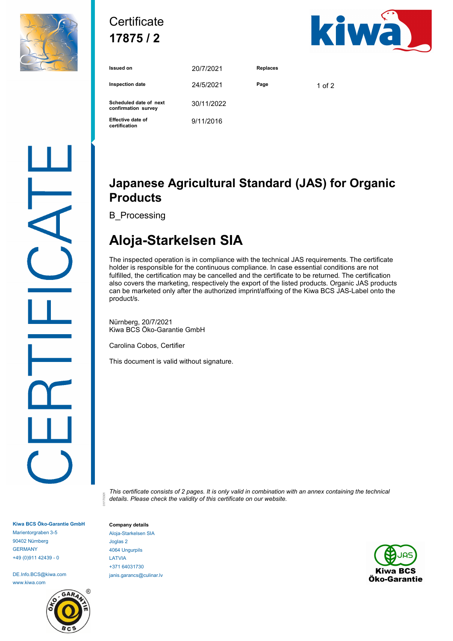

## **Certificate 17875 / 2**



| <b>Issued on</b>                              | 20/7/2021  | <b>Replaces</b> |          |
|-----------------------------------------------|------------|-----------------|----------|
| <b>Inspection date</b>                        | 24/5/2021  | Page            | 1 of $2$ |
| Scheduled date of next<br>confirmation survey | 30/11/2022 |                 |          |
| <b>Effective date of</b><br>certification     | 9/11/2016  |                 |          |

### **Japanese Agricultural Standard (JAS) for Organic Products**

B\_Processing

# **Aloja-Starkelsen SIA**

The inspected operation is in compliance with the technical JAS requirements. The certificate holder is responsible for the continuous compliance. In case essential conditions are not fulfilled, the certification may be cancelled and the certificate to be returned. The certification also covers the marketing, respectively the export of the listed products. Organic JAS products can be marketed only after the authorized imprint/affixing of the Kiwa BCS JAS-Label onto the product/s.

Nürnberg, 20/7/2021 Kiwa BCS Öko-Garantie GmbH

Carolina Cobos, Certifier

This document is valid without signature.

*This certificate consists of 2 pages. It is only valid in combination with an annex containing the technical details. Please check the validity of this certificate on our website.* 01/170301

**Kiwa BCS Öko-Garantie GmbH** Marientorgraben 3-5 90402 Nürnberg GERMANY +49 (0)911 42439 - 0

DE.Info.BCS@kiwa.com www.kiwa.com



**Company details** Aloja-Starkelsen SIA Joglas 2 4064 Ungurpils LATVIA +371 64031730 janis.garancs@culinar.lv